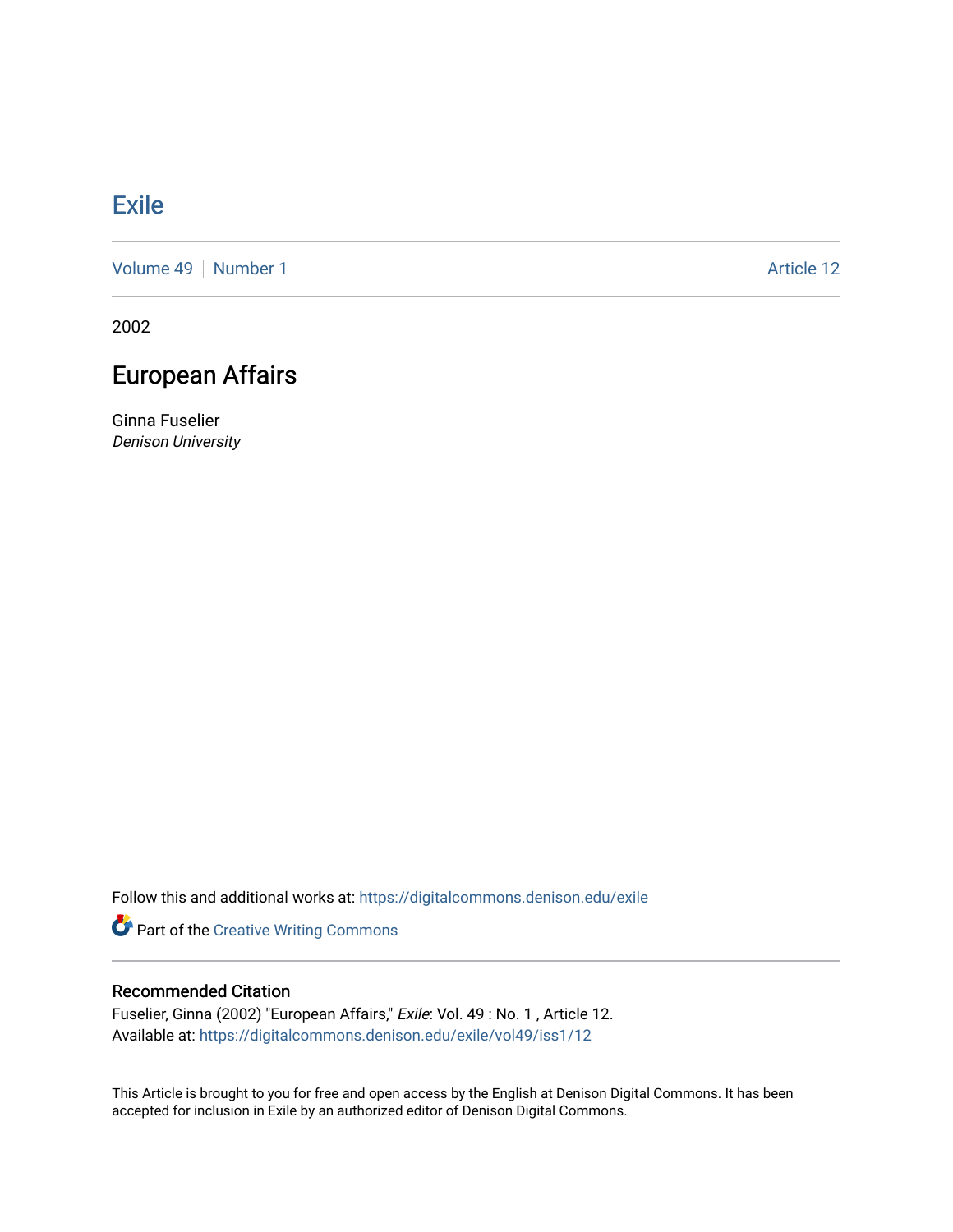## **[Exile](https://digitalcommons.denison.edu/exile)**

[Volume 49](https://digitalcommons.denison.edu/exile/vol49) | [Number 1](https://digitalcommons.denison.edu/exile/vol49/iss1) Article 12

2002

## European Affairs

Ginna Fuselier Denison University

Follow this and additional works at: [https://digitalcommons.denison.edu/exile](https://digitalcommons.denison.edu/exile?utm_source=digitalcommons.denison.edu%2Fexile%2Fvol49%2Fiss1%2F12&utm_medium=PDF&utm_campaign=PDFCoverPages) 

Part of the [Creative Writing Commons](http://network.bepress.com/hgg/discipline/574?utm_source=digitalcommons.denison.edu%2Fexile%2Fvol49%2Fiss1%2F12&utm_medium=PDF&utm_campaign=PDFCoverPages) 

## Recommended Citation

Fuselier, Ginna (2002) "European Affairs," Exile: Vol. 49 : No. 1 , Article 12. Available at: [https://digitalcommons.denison.edu/exile/vol49/iss1/12](https://digitalcommons.denison.edu/exile/vol49/iss1/12?utm_source=digitalcommons.denison.edu%2Fexile%2Fvol49%2Fiss1%2F12&utm_medium=PDF&utm_campaign=PDFCoverPages)

This Article is brought to you for free and open access by the English at Denison Digital Commons. It has been accepted for inclusion in Exile by an authorized editor of Denison Digital Commons.